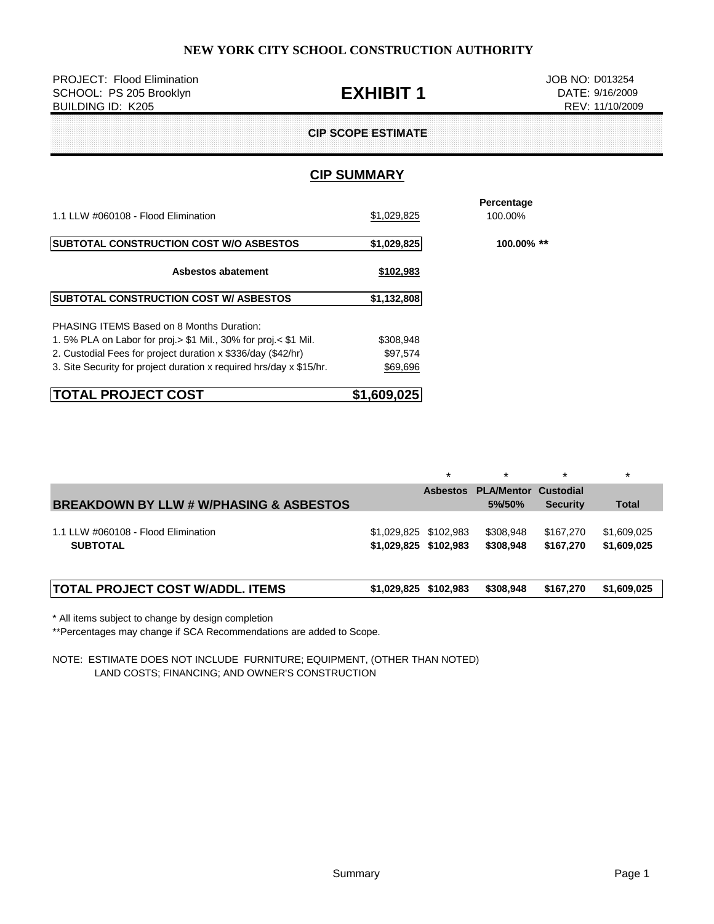| <b>PROJECT: Flood Elimination</b><br>SCHOOL: PS 205 Brooklyn<br>BUILDING ID: K205 | <b>EXHIBIT 1</b>          | JOB NO: D013254<br>DATE: 9/16/2009<br>REV: 11/10/2009 |  |
|-----------------------------------------------------------------------------------|---------------------------|-------------------------------------------------------|--|
|                                                                                   | <b>CIP SCOPE ESTIMATE</b> |                                                       |  |
|                                                                                   | <b>CIP SUMMARY</b>        |                                                       |  |
| 1.1 LLW #060108 - Flood Elimination                                               | \$1,029,825               | Percentage<br>100.00%                                 |  |
| <b>SUBTOTAL CONSTRUCTION COST W/O ASBESTOS</b>                                    | \$1,029,825               | 100.00% **                                            |  |
| Asbestos abatement                                                                | \$102,983                 |                                                       |  |
| <b>SUBTOTAL CONSTRUCTION COST W/ ASBESTOS</b>                                     | \$1,132,808               |                                                       |  |
| <b>PHASING ITEMS Based on 8 Months Duration:</b>                                  |                           |                                                       |  |
| 1.5% PLA on Labor for proj. > \$1 Mil., 30% for proj. < \$1 Mil.                  | \$308,948                 |                                                       |  |
| 2. Custodial Fees for project duration x \$336/day (\$42/hr)                      | \$97,574                  |                                                       |  |
| 3. Site Security for project duration x required hrs/day x \$15/hr.               | \$69,696                  |                                                       |  |

| <b>TOTAL PROJECT COST</b> | \$1,609,025 |
|---------------------------|-------------|
|                           |             |

|                                                        |                                                | $\star$         | $\star$                               |                        | $\star$                    |
|--------------------------------------------------------|------------------------------------------------|-----------------|---------------------------------------|------------------------|----------------------------|
| <b>BREAKDOWN BY LLW # W/PHASING &amp; ASBESTOS</b>     |                                                | <b>Asbestos</b> | <b>PLA/Mentor Custodial</b><br>5%/50% | <b>Security</b>        | <b>Total</b>               |
| 1.1 LLW #060108 - Flood Elimination<br><b>SUBTOTAL</b> | \$1,029,825 \$102,983<br>\$1,029,825 \$102,983 |                 | \$308,948<br>\$308,948                | \$167.270<br>\$167.270 | \$1,609,025<br>\$1,609,025 |
| <b>TOTAL PROJECT COST W/ADDL. ITEMS</b>                | \$1,029,825 \$102,983                          |                 | \$308.948                             | \$167,270              | \$1,609,025                |

\* All items subject to change by design completion

\*\*Percentages may change if SCA Recommendations are added to Scope.

NOTE: ESTIMATE DOES NOT INCLUDE FURNITURE; EQUIPMENT, (OTHER THAN NOTED) LAND COSTS; FINANCING; AND OWNER'S CONSTRUCTION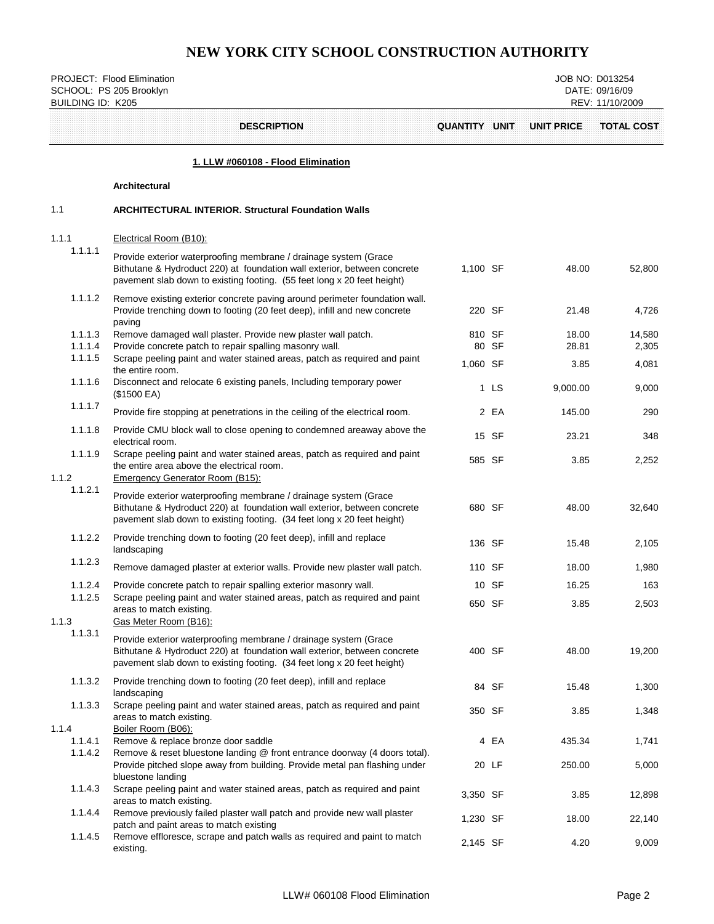PROJECT: Flood Elimination JOB NO: D013254<br>
SCHOOL: PS 205 Brooklyn JOB NO: D013254 SCHOOL: PS 205 Brooklyn

| <b>BUILDING ID: K205</b> |                                                                                                                                                                                                                         |               |       |                   | REV: 11/10/2009   |
|--------------------------|-------------------------------------------------------------------------------------------------------------------------------------------------------------------------------------------------------------------------|---------------|-------|-------------------|-------------------|
|                          | <b>DESCRIPTION</b>                                                                                                                                                                                                      | QUANTITY UNIT |       | <b>UNIT PRICE</b> | <b>TOTAL COST</b> |
|                          | 1. LLW #060108 - Flood Elimination                                                                                                                                                                                      |               |       |                   |                   |
|                          | Architectural                                                                                                                                                                                                           |               |       |                   |                   |
| 1.1                      | <b>ARCHITECTURAL INTERIOR. Structural Foundation Walls</b>                                                                                                                                                              |               |       |                   |                   |
| 1.1.1                    | Electrical Room (B10):                                                                                                                                                                                                  |               |       |                   |                   |
| 1.1.1.1                  | Provide exterior waterproofing membrane / drainage system (Grace<br>Bithutane & Hydroduct 220) at foundation wall exterior, between concrete<br>pavement slab down to existing footing. (55 feet long x 20 feet height) | 1,100 SF      |       | 48.00             | 52,800            |
| 1.1.1.2                  | Remove existing exterior concrete paving around perimeter foundation wall.<br>Provide trenching down to footing (20 feet deep), infill and new concrete<br>paving                                                       | 220 SF        |       | 21.48             | 4,726             |
| 1.1.1.3                  | Remove damaged wall plaster. Provide new plaster wall patch.                                                                                                                                                            | 810 SF        |       | 18.00<br>28.81    | 14,580            |
| 1.1.1.4<br>1.1.1.5       | Provide concrete patch to repair spalling masonry wall.<br>Scrape peeling paint and water stained areas, patch as required and paint                                                                                    | 1,060 SF      | 80 SF | 3.85              | 2,305<br>4,081    |
| 1.1.1.6                  | the entire room.<br>Disconnect and relocate 6 existing panels, Including temporary power<br>(\$1500 EA)                                                                                                                 |               | 1 LS  | 9,000.00          | 9,000             |
| 1.1.1.7                  | Provide fire stopping at penetrations in the ceiling of the electrical room.                                                                                                                                            |               | 2 EA  | 145.00            | 290               |
| 1.1.1.8                  | Provide CMU block wall to close opening to condemned areaway above the<br>electrical room.                                                                                                                              |               | 15 SF | 23.21             | 348               |
| 1.1.1.9<br>1.1.2         | Scrape peeling paint and water stained areas, patch as required and paint<br>the entire area above the electrical room.<br><b>Emergency Generator Room (B15):</b>                                                       | 585 SF        |       | 3.85              | 2,252             |
| 1.1.2.1                  | Provide exterior waterproofing membrane / drainage system (Grace<br>Bithutane & Hydroduct 220) at foundation wall exterior, between concrete<br>pavement slab down to existing footing. (34 feet long x 20 feet height) | 680 SF        |       | 48.00             | 32,640            |
| 1.1.2.2                  | Provide trenching down to footing (20 feet deep), infill and replace<br>landscaping                                                                                                                                     | 136 SF        |       | 15.48             | 2,105             |
| 1.1.2.3                  | Remove damaged plaster at exterior walls. Provide new plaster wall patch.                                                                                                                                               | 110 SF        |       | 18.00             | 1,980             |
| 1.1.2.4                  | Provide concrete patch to repair spalling exterior masonry wall.                                                                                                                                                        |               | 10 SF | 16.25             | 163               |
| 1.1.2.5<br>1.1.3         | Scrape peeling paint and water stained areas, patch as required and paint<br>areas to match existing.<br>Gas Meter Room (B16):                                                                                          | 650 SF        |       | 3.85              | 2,503             |
| 1.1.3.1                  | Provide exterior waterproofing membrane / drainage system (Grace<br>Bithutane & Hydroduct 220) at foundation wall exterior, between concrete<br>pavement slab down to existing footing. (34 feet long x 20 feet height) | 400 SF        |       | 48.00             | 19,200            |
| 1.1.3.2                  | Provide trenching down to footing (20 feet deep), infill and replace<br>landscaping                                                                                                                                     |               | 84 SF | 15.48             | 1,300             |
| 1.1.3.3                  | Scrape peeling paint and water stained areas, patch as required and paint<br>areas to match existing.                                                                                                                   | 350 SF        |       | 3.85              | 1,348             |
| 1.1.4<br>1.1.4.1         | Boiler Room (B06):<br>Remove & replace bronze door saddle                                                                                                                                                               |               | 4 EA  | 435.34            | 1,741             |
| 1.1.4.2                  | Remove & reset bluestone landing @ front entrance doorway (4 doors total).<br>Provide pitched slope away from building. Provide metal pan flashing under<br>bluestone landing                                           |               | 20 LF | 250.00            | 5,000             |
| 1.1.4.3                  | Scrape peeling paint and water stained areas, patch as required and paint<br>areas to match existing.                                                                                                                   | 3,350 SF      |       | 3.85              | 12,898            |
| 1.1.4.4                  | Remove previously failed plaster wall patch and provide new wall plaster<br>patch and paint areas to match existing                                                                                                     | 1,230 SF      |       | 18.00             | 22,140            |

1.1.4.5 Remove effloresce, scrape and patch walls as required and paint to match  $2,145$  SF  $4.20$  9,009<br>existing.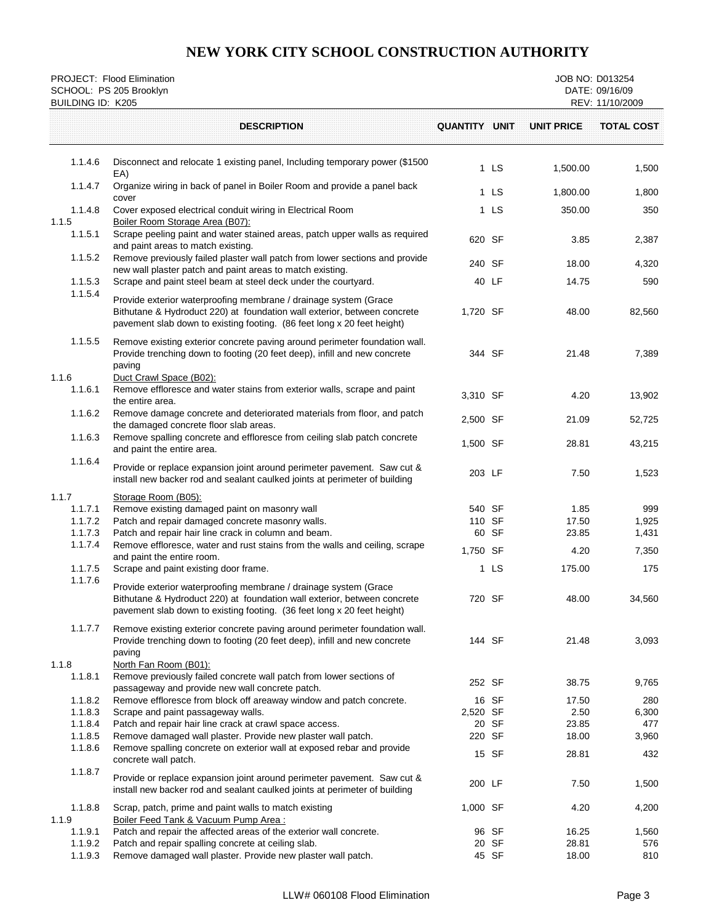| <b>DESCRIPTION</b><br>QUANTITY UNIT<br><b>UNIT PRICE</b><br>1.1.4.6<br>Disconnect and relocate 1 existing panel, Including temporary power (\$1500)<br>1 LS<br>EA)<br>1.1.4.7<br>Organize wiring in back of panel in Boiler Room and provide a panel back<br>1 LS<br>cover<br>1.1.4.8<br>Cover exposed electrical conduit wiring in Electrical Room<br>1 LS<br>1.1.5<br>Boiler Room Storage Area (B07):<br>Scrape peeling paint and water stained areas, patch upper walls as required<br>1.1.5.1<br>620 SF<br>and paint areas to match existing. | <b>TOTAL COST</b><br>1,500.00<br>1,500<br>1,800<br>1,800.00<br>350.00<br>350<br>3.85<br>2,387<br>18.00<br>4,320<br>14.75<br>590<br>82,560<br>48.00 |
|---------------------------------------------------------------------------------------------------------------------------------------------------------------------------------------------------------------------------------------------------------------------------------------------------------------------------------------------------------------------------------------------------------------------------------------------------------------------------------------------------------------------------------------------------|----------------------------------------------------------------------------------------------------------------------------------------------------|
|                                                                                                                                                                                                                                                                                                                                                                                                                                                                                                                                                   |                                                                                                                                                    |
|                                                                                                                                                                                                                                                                                                                                                                                                                                                                                                                                                   |                                                                                                                                                    |
|                                                                                                                                                                                                                                                                                                                                                                                                                                                                                                                                                   |                                                                                                                                                    |
|                                                                                                                                                                                                                                                                                                                                                                                                                                                                                                                                                   |                                                                                                                                                    |
|                                                                                                                                                                                                                                                                                                                                                                                                                                                                                                                                                   |                                                                                                                                                    |
| 1.1.5.2<br>Remove previously failed plaster wall patch from lower sections and provide<br>240 SF<br>new wall plaster patch and paint areas to match existing.                                                                                                                                                                                                                                                                                                                                                                                     |                                                                                                                                                    |
| 1.1.5.3<br>Scrape and paint steel beam at steel deck under the courtyard.<br>40 LF                                                                                                                                                                                                                                                                                                                                                                                                                                                                |                                                                                                                                                    |
| 1.1.5.4<br>Provide exterior waterproofing membrane / drainage system (Grace<br>Bithutane & Hydroduct 220) at foundation wall exterior, between concrete<br>1,720 SF<br>pavement slab down to existing footing. (86 feet long x 20 feet height)                                                                                                                                                                                                                                                                                                    |                                                                                                                                                    |
| 1.1.5.5<br>Remove existing exterior concrete paving around perimeter foundation wall.<br>Provide trenching down to footing (20 feet deep), infill and new concrete<br>344 SF<br>paving                                                                                                                                                                                                                                                                                                                                                            | 21.48<br>7,389                                                                                                                                     |
| 1.1.6<br>Duct Crawl Space (B02):<br>1.1.6.1<br>Remove effloresce and water stains from exterior walls, scrape and paint<br>3,310 SF<br>the entire area.                                                                                                                                                                                                                                                                                                                                                                                           | 4.20<br>13,902                                                                                                                                     |
| 1.1.6.2<br>Remove damage concrete and deteriorated materials from floor, and patch<br>2,500 SF<br>the damaged concrete floor slab areas.                                                                                                                                                                                                                                                                                                                                                                                                          | 21.09<br>52,725                                                                                                                                    |
| 1.1.6.3<br>Remove spalling concrete and effloresce from ceiling slab patch concrete<br>1,500 SF<br>and paint the entire area.                                                                                                                                                                                                                                                                                                                                                                                                                     | 28.81<br>43,215                                                                                                                                    |
| 1.1.6.4<br>Provide or replace expansion joint around perimeter pavement. Saw cut &<br>203 LF<br>install new backer rod and sealant caulked joints at perimeter of building                                                                                                                                                                                                                                                                                                                                                                        | 7.50<br>1,523                                                                                                                                      |
| 1.1.7<br>Storage Room (B05):<br>Remove existing damaged paint on masonry wall<br>1.1.7.1<br>540 SF<br>Patch and repair damaged concrete masonry walls.<br>1.1.7.2<br>110 SF<br>1.1.7.3<br>Patch and repair hair line crack in column and beam.<br>60 SF                                                                                                                                                                                                                                                                                           | 1.85<br>999<br>17.50<br>1,925<br>23.85<br>1,431                                                                                                    |
| 1.1.7.4<br>Remove effloresce, water and rust stains from the walls and ceiling, scrape<br>1,750 SF<br>and paint the entire room.                                                                                                                                                                                                                                                                                                                                                                                                                  | 7,350<br>4.20                                                                                                                                      |
| 1.1.7.5<br>Scrape and paint existing door frame.<br>1 LS<br>1.1.7.6                                                                                                                                                                                                                                                                                                                                                                                                                                                                               | 175.00<br>175                                                                                                                                      |
| Provide exterior waterproofing membrane / drainage system (Grace<br>Bithutane & Hydroduct 220) at foundation wall exterior, between concrete<br>720 SF<br>pavement slab down to existing footing. (36 feet long x 20 feet height)                                                                                                                                                                                                                                                                                                                 | 48.00<br>34,560                                                                                                                                    |
| 1.1.7.7<br>Remove existing exterior concrete paving around perimeter foundation wall.<br>Provide trenching down to footing (20 feet deep), infill and new concrete<br>144 SF<br>paving                                                                                                                                                                                                                                                                                                                                                            | 21.48<br>3,093                                                                                                                                     |
| 1.1.8<br>North Fan Room (B01):<br>Remove previously failed concrete wall patch from lower sections of<br>1.1.8.1<br>252 SF<br>passageway and provide new wall concrete patch.                                                                                                                                                                                                                                                                                                                                                                     | 38.75<br>9,765                                                                                                                                     |
| 16 SF<br>1.1.8.2<br>Remove effloresce from block off areaway window and patch concrete.                                                                                                                                                                                                                                                                                                                                                                                                                                                           | 17.50<br>280                                                                                                                                       |
| 1.1.8.3<br>Scrape and paint passageway walls.<br>2,520 SF<br>1.1.8.4<br>20 SF<br>Patch and repair hair line crack at crawl space access.                                                                                                                                                                                                                                                                                                                                                                                                          | 2.50<br>6,300<br>23.85<br>477                                                                                                                      |
| 1.1.8.5<br>Remove damaged wall plaster. Provide new plaster wall patch.<br>220 SF                                                                                                                                                                                                                                                                                                                                                                                                                                                                 | 18.00<br>3,960                                                                                                                                     |
| 1.1.8.6<br>Remove spalling concrete on exterior wall at exposed rebar and provide<br>15 SF<br>concrete wall patch.                                                                                                                                                                                                                                                                                                                                                                                                                                | 28.81<br>432                                                                                                                                       |
| 1.1.8.7<br>Provide or replace expansion joint around perimeter pavement. Saw cut &<br>200 LF<br>install new backer rod and sealant caulked joints at perimeter of building                                                                                                                                                                                                                                                                                                                                                                        | 7.50<br>1,500                                                                                                                                      |
| 1.1.8.8<br>1,000 SF<br>Scrap, patch, prime and paint walls to match existing<br>1.1.9<br>Boiler Feed Tank & Vacuum Pump Area:                                                                                                                                                                                                                                                                                                                                                                                                                     | 4.20<br>4,200                                                                                                                                      |
| 1.1.9.1<br>Patch and repair the affected areas of the exterior wall concrete.<br>96 SF                                                                                                                                                                                                                                                                                                                                                                                                                                                            | 16.25<br>1,560                                                                                                                                     |
| 1.1.9.2<br>Patch and repair spalling concrete at ceiling slab.<br>20 SF<br>45 SF<br>1.1.9.3<br>Remove damaged wall plaster. Provide new plaster wall patch.                                                                                                                                                                                                                                                                                                                                                                                       | 28.81<br>576<br>18.00<br>810                                                                                                                       |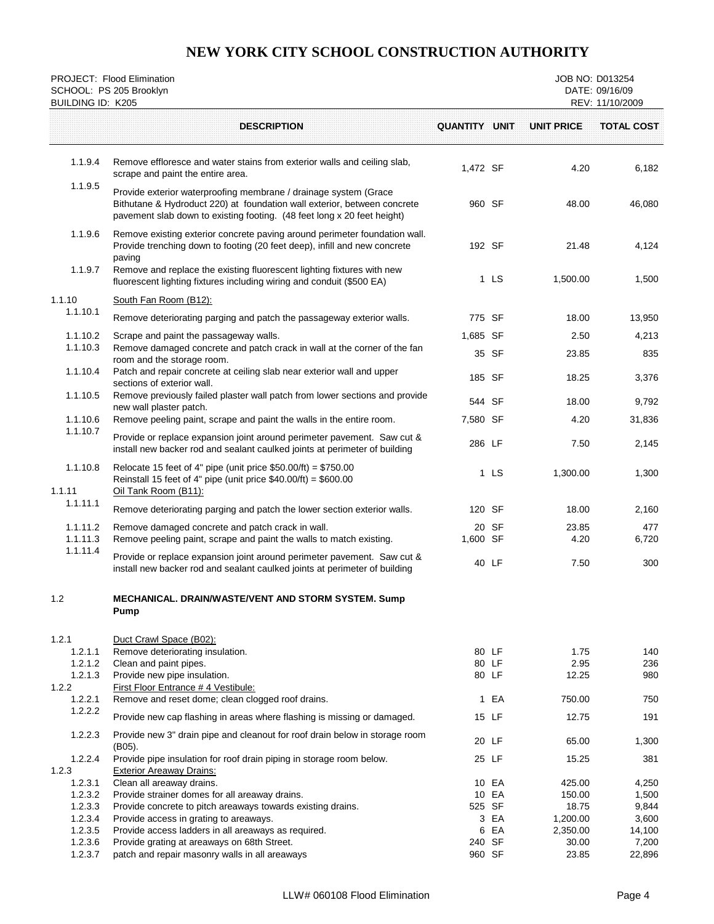| SCHOOL: PS 205 Brooklyn<br><b>BUILDING ID: K205</b> | PROJECT: Flood Elimination                                                                                                                                                                                              |                      |                |                      | JOB NO: D013254<br>DATE: 09/16/09<br>REV: 11/10/2009 |
|-----------------------------------------------------|-------------------------------------------------------------------------------------------------------------------------------------------------------------------------------------------------------------------------|----------------------|----------------|----------------------|------------------------------------------------------|
|                                                     | <b>DESCRIPTION</b>                                                                                                                                                                                                      | <b>QUANTITY UNIT</b> |                | <b>UNIT PRICE</b>    | <b>TOTAL COST</b>                                    |
| 1.1.9.4                                             | Remove effloresce and water stains from exterior walls and ceiling slab,<br>scrape and paint the entire area.                                                                                                           | 1,472 SF             |                | 4.20                 | 6,182                                                |
| 1.1.9.5                                             | Provide exterior waterproofing membrane / drainage system (Grace<br>Bithutane & Hydroduct 220) at foundation wall exterior, between concrete<br>pavement slab down to existing footing. (48 feet long x 20 feet height) | 960 SF               |                | 48.00                | 46,080                                               |
| 1.1.9.6                                             | Remove existing exterior concrete paving around perimeter foundation wall.<br>Provide trenching down to footing (20 feet deep), infill and new concrete<br>paving                                                       | 192 SF               |                | 21.48                | 4,124                                                |
| 1.1.9.7                                             | Remove and replace the existing fluorescent lighting fixtures with new<br>fluorescent lighting fixtures including wiring and conduit (\$500 EA)                                                                         |                      | 1 LS           | 1,500.00             | 1,500                                                |
| 1.1.10                                              | South Fan Room (B12):                                                                                                                                                                                                   |                      |                |                      |                                                      |
| 1.1.10.1                                            | Remove deteriorating parging and patch the passageway exterior walls.                                                                                                                                                   | 775 SF               |                | 18.00                | 13,950                                               |
| 1.1.10.2                                            | Scrape and paint the passageway walls.                                                                                                                                                                                  | 1,685 SF             |                | 2.50                 | 4,213                                                |
| 1.1.10.3                                            | Remove damaged concrete and patch crack in wall at the corner of the fan<br>room and the storage room.                                                                                                                  |                      | 35 SF          | 23.85                | 835                                                  |
| 1.1.10.4                                            | Patch and repair concrete at ceiling slab near exterior wall and upper<br>sections of exterior wall.                                                                                                                    |                      | 185 SF         | 18.25                | 3,376                                                |
| 1.1.10.5                                            | Remove previously failed plaster wall patch from lower sections and provide<br>new wall plaster patch.                                                                                                                  |                      | 544 SF         | 18.00                | 9,792                                                |
| 1.1.10.6                                            | Remove peeling paint, scrape and paint the walls in the entire room.                                                                                                                                                    | 7,580 SF             |                | 4.20                 | 31,836                                               |
| 1.1.10.7                                            | Provide or replace expansion joint around perimeter pavement. Saw cut &<br>install new backer rod and sealant caulked joints at perimeter of building                                                                   | 286 LF               |                | 7.50                 | 2,145                                                |
| 1.1.10.8<br>1.1.11                                  | Relocate 15 feet of 4" pipe (unit price $$50.00/ft) = $750.00$<br>Reinstall 15 feet of 4" pipe (unit price $$40.00/ft) = $600.00$<br>Oil Tank Room (B11):                                                               |                      | 1 LS           | 1,300.00             | 1,300                                                |
| 1.1.11.1                                            | Remove deteriorating parging and patch the lower section exterior walls.                                                                                                                                                |                      | 120 SF         | 18.00                | 2,160                                                |
| 1.1.11.2                                            | Remove damaged concrete and patch crack in wall.                                                                                                                                                                        |                      | 20 SF          | 23.85                | 477                                                  |
| 1.1.11.3                                            | Remove peeling paint, scrape and paint the walls to match existing.                                                                                                                                                     | 1,600 SF             |                | 4.20                 | 6,720                                                |
| 1.1.11.4                                            | Provide or replace expansion joint around perimeter pavement. Saw cut &<br>install new backer rod and sealant caulked joints at perimeter of building                                                                   |                      | 40 LF          | 7.50                 | 300                                                  |
| 1.2                                                 | MECHANICAL. DRAIN/WASTE/VENT AND STORM SYSTEM. Sump<br>Pump                                                                                                                                                             |                      |                |                      |                                                      |
| 1.2.1                                               | Duct Crawl Space (B02):                                                                                                                                                                                                 |                      |                |                      |                                                      |
| 1.2.1.1<br>1.2.1.2                                  | Remove deteriorating insulation.                                                                                                                                                                                        |                      | 80 LF<br>80 LF | 1.75<br>2.95         | 140<br>236                                           |
| 1.2.1.3                                             | Clean and paint pipes.<br>Provide new pipe insulation.                                                                                                                                                                  |                      | 80 LF          | 12.25                | 980                                                  |
| 1.2.2                                               | First Floor Entrance # 4 Vestibule:                                                                                                                                                                                     |                      |                |                      |                                                      |
| 1.2.2.1<br>1.2.2.2                                  | Remove and reset dome; clean clogged roof drains.                                                                                                                                                                       |                      | 1 EA           | 750.00               | 750                                                  |
|                                                     | Provide new cap flashing in areas where flashing is missing or damaged.                                                                                                                                                 |                      | 15 LF          | 12.75                | 191                                                  |
| 1.2.2.3                                             | Provide new 3" drain pipe and cleanout for roof drain below in storage room<br>(B05).                                                                                                                                   |                      | 20 LF          | 65.00                | 1,300                                                |
| 1.2.2.4<br>1.2.3                                    | Provide pipe insulation for roof drain piping in storage room below.<br><b>Exterior Areaway Drains:</b>                                                                                                                 |                      | 25 LF          | 15.25                | 381                                                  |
| 1.2.3.1                                             | Clean all areaway drains.                                                                                                                                                                                               |                      | 10 EA          | 425.00               | 4,250                                                |
| 1.2.3.2                                             | Provide strainer domes for all areaway drains.                                                                                                                                                                          |                      | 10 EA          | 150.00               | 1,500                                                |
| 1.2.3.3                                             | Provide concrete to pitch areaways towards existing drains.                                                                                                                                                             |                      | 525 SF         | 18.75                | 9,844                                                |
| 1.2.3.4<br>1.2.3.5                                  | Provide access in grating to areaways.<br>Provide access ladders in all areaways as required.                                                                                                                           |                      | 3 EA<br>6 EA   | 1,200.00<br>2,350.00 | 3,600<br>14,100                                      |
| 1.2.3.6                                             | Provide grating at areaways on 68th Street.                                                                                                                                                                             | 240 SF               |                | 30.00                | 7,200                                                |
| 1.2.3.7                                             | patch and repair masonry walls in all areaways                                                                                                                                                                          |                      | 960 SF         | 23.85                | 22,896                                               |